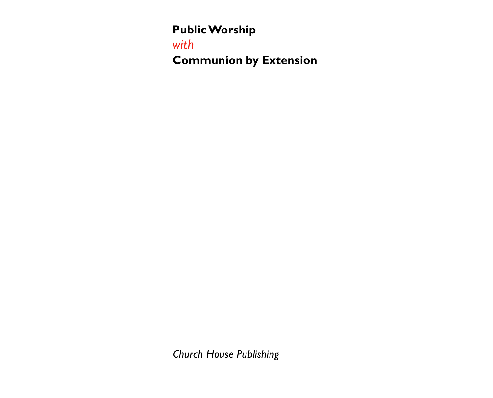**Public Worship** *w ith* **Communion by Extension** 

*Church House Publishing*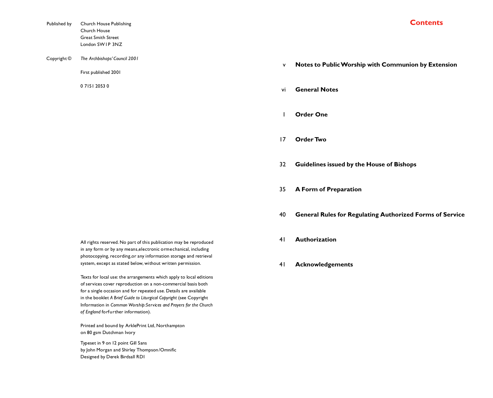Published by Church House Publishing Church House **Great Smith Street** London SW1P 3NZ

Copyright <sup>©</sup> The Archbishops' Council 2001

First published 2001

0 7151 2053 0

#### **Contents**

- v **Notes to Public Worship with Communion by Extension**
- vi **General Notes**
- 1 **Order One**
- 17 **Order Two**
- 3 2 **Guidelines issued by the House of Bishops**
- 3 5 **A Form of Preparation**
- 4 0 **General Rules for Regulating Authorized Forms of Service**

All rights reserved. No part of this publication may be reproduced in any form or by any means, electronic ormechanical, including photocopying, recording, or any information storage and retrieval system, except as stated below, without written permission.

Texts for local use: the arrangements which apply to local editions of services cover reproduction on a non-commercial basis both for a single occasion and for repeated use. Details are available in the booklet A Brief Guide to Liturgical Copyright (see Copyright Information in *Common Worship:Services and Prayers for the Church* of *England* forfurther information).

Printed and bound by ArklePrint Ltd, Northampton on 80 gsm Dutchman Ivory

Typeset in 9 on 12 point Gill Sans by John Morgan and Shirley Thompson/Omnific Designed by Derek Birdsall RDI

- 4 1 **Authorization**
- 4 1 **Acknowledgements**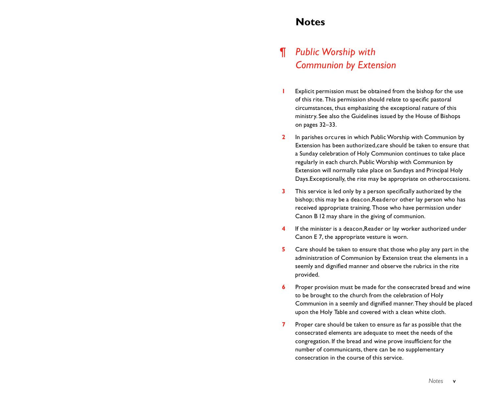# **Notes**

# *¶* Public Worship with *Communion by Extension*

- Explicit permission must be obtained from the bishop for the use of this rite. This permission should relate to specific pastoral circumstances, thus emphasizing the exceptional nature of this ministry. See also the Guidelines issued by the House of Bishops on pages 32–33.
- **2** In parishes orcures in which Public Worship with Communion by Extension has been authorized, care should be taken to ensure that a Sunday celebration of Holy Communion continues to take place regularly in each church. Public Worship with Communion by Extension will normally take place on Sundays and Principal Holy Days. Exceptionally, the rite may be appropriate on otheroccasions.
- **3** This service is led only by a person specifically authorized by the bishop; this may be a deacon, Readeror other lay person who has received appropriate training. Those who have permission under Canon B 12 may share in the giving of communion.
- **4** If the minister is a deacon, Reader or lay worker authorized under Canon E 7, the appropriate vesture is worn.
- **5** Care should be taken to ensure that those who play any part in the administration of Communion by Extension treat the elements in a seemly and dignified manner and observe the rubrics in the rite provided.
- **6** Proper provision must be made for the consecrated bread and wine to be brought to the church from the celebration of Holy Communion in a seemly and dignified manner. They should be placed upon the Holy Table and covered with a clean white cloth.
- **7** Proper care should be taken to ensure as far as possible that the consecrated elements are adequate to meet the needs of the congregation. If the bread and wine prove insufficient for the number of communicants, there can be no supplementary consecration in the course of this service.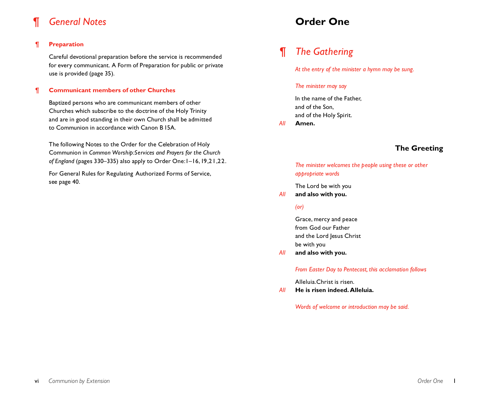# *¶ G e n e ral Notes*

### ¶ **Preparation**

Careful devotional preparation before the service is recommended for every communicant. A Form of Preparation for public or private use is provided (page 35).

### ¶ **Communicant members of other Churches**

Baptized persons who are communicant members of other Churches which subscribe to the doctrine of the Holy Trinity and are in good standing in their own Church shall be admitted to Communion in accordance with Canon B 15A.

The following Notes to the Order for the Celebration of Holy Communion in *Common Worship:Services and Prayers for the Church of England (pages 330–335) also apply to Order One:1-16, 19,21,22.* 

For General Rules for Regulating Authorized Forms of Service, see page 40.

# **Order One**

# *¶* The Gathering

*At the entry of the minister a hymn may be sung.*

### *The minister may say*

In the name of the Father. and of the Son, and of the Holy Spirit.

*A ll* **Amen.**

# **The Greeting**

*The minister welcomes the people using these or other a p p ro p riate word s*

The Lord be with you

*A ll* **and also with you.**

# *( o r )*

Grace, mercy and peace from God our Father and the Lord Jesus Christ be with you

*A ll* **and also with you.**

### **From Easter Day to Pentecost, this acclamation follows**

Alleluia.Christ is risen.

*A ll* **He is risen indeed. Alleluia.**

*Words of welcome or introduction may be said.*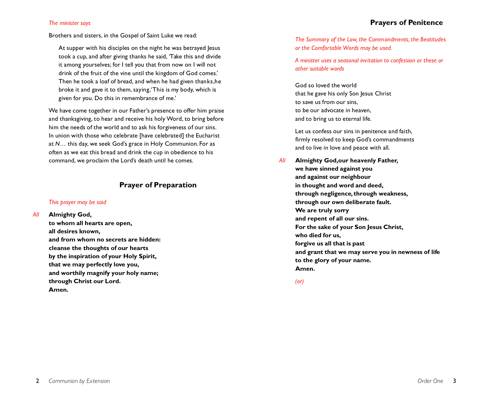# **Prayers of Penitence**

#### *The minister says*

Brothers and sisters, in the Gospel of Saint Luke we read:

At supper with his disciples on the night he was betrayed lesus took a cup, and after giving thanks he said, 'Take this and divide it among yourselves; for I tell you that from now on I will not drink of the fruit of the vine until the kingdom of God comes.' Then he took a loaf of bread, and when he had given thanks, he broke it and gave it to them, saying, 'This is my body, which is given for you. Do this in remembrance of me.'

We have come together in our Father's presence to offer him praise and thanks giving, to hear and receive his holy Word, to bring before him the needs of the world and to ask his for giveness of our sins. In union with those who celebrate [have celebrated] the Eucharist at *N*... this day, we seek God's grace in Holy Communion. For as often as we eat this bread and drink the cup in obedience to his command, we proclaim the Lord's death until he comes.

## **Prayer of Preparation**

#### *This prayer may be said*

*A ll* **Almighty God, to whom all hearts are open, all desires known, and from whom no secrets are hidden: cleanse the thoughts of our hearts by the inspiration of your Holy Spirit, that we may perfectly love you, and worthily magnify your holy name; through Christ our Lord. Amen.**

*The Summary of the Law, the Commandments, the Beatitudes*  or the Comfortable Words may be used.

*A minister uses a seasonal invitation to confession or these or other suitable words* 

God so loved the world that he gave his only Son Jesus Christ to save us from our sins. to be our advocate in heaven. and to bring us to eternal life.

Let us confess our sins in penitence and faith, firmly resolved to keep God's command ments and to live in love and peace with all.

*A ll* **Almighty God,our heavenly Father, we have sinned against you and against our neighbour in thought and word and deed, through negligence, through weakness, through our own deliberate fault. We are truly sorry and repent of all our sins. For the sake of your Son Jesus Christ, who died for us, forgive us all that is past and grant that we may serve you in newness of life to the glory of your name. Amen.**

*( o r )*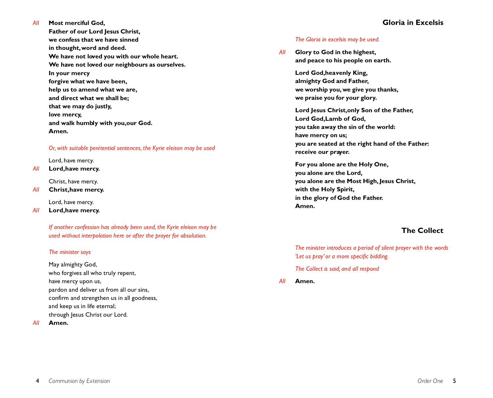*A ll* **Most merciful God, Father of our Lord Jesus Christ, we confess that we have sinned in thought,word and deed. We have not loved you with our whole heart. We have not loved our neighbours as ourselves. In your mercy forgive what we have been, help us to amend what we are, and direct what we shall be; that we may do justly, love mercy, and walk humbly with you,our God. Amen.**

## **Or, with suitable penitential sentences, the Kyrie eleison may be used**

Lord, have mercy.

*All* **Lord, have mercy.** 

Christ, have mercy.

*All* **Christ, have mercy.** 

Lord, have mercy.

**All Lord, have mercy.** 

*If another confession has already been used, the Kyrie eleison may be* used without interpolation here or after the prayer for absolution.

# *The minister says*

May almighty God, who forgives all who truly repent, have mercy upon us, pardon and deliver us from all our sins, confirm and strengthen us in all goodness, and keep us in life eternal; through Jesus Christ our Lord.

*A ll* **Amen.**

# *The Gloria in excelsis may be used.*

All **Glory to God in the highest, and peace to his people on earth.**

> **Lord God,heavenly King, almighty God and Father, we worship you, we give you thanks, we praise you for your glory.**

**Lord Jesus Christ,only Son of the Father, Lord God,Lamb of God, you take away the sin of the world: have mercy on us; you are seated at the right hand of the Father: receive our prayer.**

**For you alone are the Holy One, you alone are the Lord, you alone are the Most High,Jesus Christ, with the Holy Spirit, in the glory of God the Father. Amen.**

# **The Collect**

The minister introduces a period of silent prayer with the words 'Let us pray' or a more specific bidding.

**The Collect is said, and all respond** 

*A ll* **Amen.**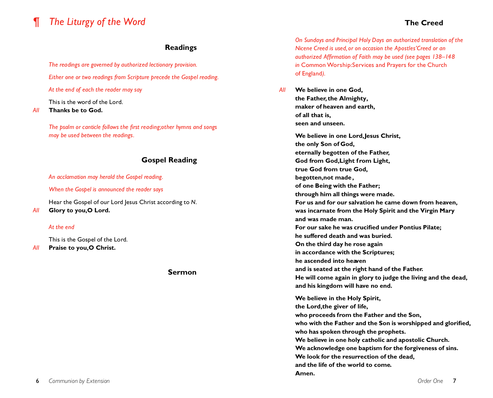# *¶* The Liturgy of the Word

# **The Creed**

# **Readings**

The readings are governed by authorized lectionary provision. *Either one or two readings from Scripture precede the Gospel reading.* 

At the end of each the reader may say

This is the word of the Lord.

*A ll* **Thanks be to God.**

*The psalm or canticle follows the first reading; other hymns and songs may be used between the readings.* 

# **Gospel Reading**

An acclamation may herald the Gospel reading.

*When the Gospel is announced the reader says*

Hear the Gospel of our Lord Jesus Christ according to N.

**All Glory to you, O Lord.** 

# *At the end*

This is the Gospel of the Lord.

**All Praise to you, O Christ.** 

# **Sermon**

**On Sundays and Principal Holy Days an authorized translation of the** *Nicene Creed is used, or on occasion the Apostles' Creed or an* authorized Affirmation of Faith may be used (see pages 138-148 in Common Worship:Services and Prayers for the Church of England).

*All* **We believe in one God. the Father, the Almighty, maker of heaven and earth, of all that is, seen and unseen.**

> **We believe in one Lord,Jesus Christ, the only Son of God, eternally begotten of the Father, God from God,Light f rom Light, true God from true God, begotten,not made, of one Being with the Father; through him all things were made. For us and for our salvation he came down from heaven, was incarnate from the Holy Spirit and the Virgin Mary and was made man. For our sake he was crucified under Pontius Pilate; he suffered death and was buried. On the third day he rose again in accordance with the Scriptures; he ascended into heaven and is seated at the right hand of the Father. He will come again in glory to judge the living and the dead, and his kingdom will have no end.**

**We believe in the Holy Spirit, the Lord,the giver of life, who proceeds from the Father and the Son, who with the Father and the Son is worshipped and glorified, who has spoken through the prophets. We believe in one holy catholic and apostolic Church. We acknowledge one baptism for the forgiveness of sins. We look for the resurrection of the dead, and the life of the world to come. Amen.**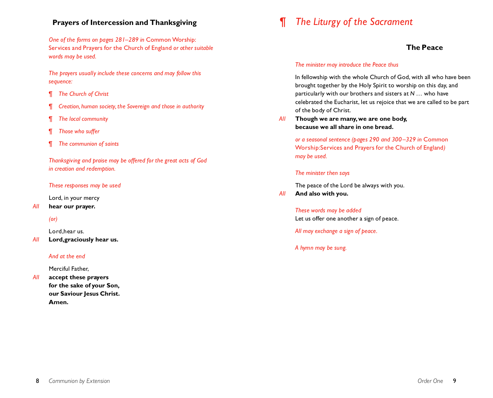# **Prayers of Intercession and Thanksgiving**

*One of the forms on pages 281–289 in Common Worship:* Services and Prayers for the Church of England or other suitable words may be used.

The prayers usually include these concerns and may follow this sequence:

- *¶* The Church of Christ
- *¶ Creation, human society, the Sovereign and those in authority*
- *¶* The local community
- *¶ Those who suffer*
- *¶* The communion of saints

*Thanksgiving and praise may be offered for the great acts of God in creation and redemption.* 

*These responses may be used*

Lord, in your mercy

All **hear our prayer.** 

#### *( o r )*

Lord, hear us.

All **Lord, graciously hear us.** 

#### *And at the end*

Merciful Father,

*A ll* **accept these prayers for the sake of your Son, our Saviour Jesus Christ. Amen.**

# *¶ The Liturgy of the Sacrament*

# **The Peace**

#### The minister may introduce the Peace thus

In fellowship with the whole Church of God, with all who have been brought together by the Holy Spirit to worship on this day, and particularly with our brothers and sisters at *N* ... who have celebrated the Eucharist, let us rejoice that we are called to be part of the body of Christ.

*A ll* **Though we are many, we are one body, because we all share in one bread.**

> *or a seasonal sentence (pages 290 and 300–329 in Common* Worship:Services and Prayers for the Church of England) *may be used.*

#### *The minister then says*

The peace of the Lord be always with you.

*A ll* **And also with you.**

*These words may be added* Let us offer one another a sign of peace.

All may exchange a sign of *peace*.

*A hymn may be sung.*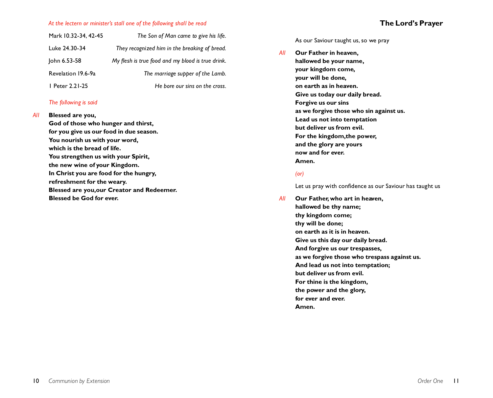#### At the lectern or minister's stall one of the following shall be read

| Mark 10.32-34, 42-45 | The Son of Man came to give his life.             |
|----------------------|---------------------------------------------------|
| Luke 24.30-34        | They recognized him in the breaking of bread.     |
| John 6.53-58         | My flesh is true food and my blood is true drink. |
| Revelation 19.6-9a   | The marriage supper of the Lamb.                  |
| 1 Peter 2.21-25      | He bore our sins on the cross.                    |

#### *The fo ll owing is said*

#### *A ll* **Blessed are you,**

**God of those who hunger and thirst, for you give us our food in due season. You nourish us with your word, which is the bread of life. You strengthen us with your Spirit, the new wine of your Kingdom. In Christ you are food for the hungry, refreshment for the weary. Blessed are you,our Creator and Redeemer. Blessed be God for ever.**

As our Saviour taught us, so we pray

*All* **Our Father in heaven. hallowed be your name, your kingdom come, your will be done, on earth as in heaven. Give us today our daily bread. Forgive us our sins as we forgive those who sin against us. Lead us not into temptation but deliver us from evil. For the kingdom,the power, and the glory are yours now and for ever. Amen.**

# *( o r )*

Let us pray with confidence as our Saviour has taught us

*A ll* **Our Father, who art in heaven, hallowed be thy name; thy kingdom come; thy will be done; on earth as it is in heaven. Give us this day our daily bread. And forgive us our trespasses, as we forgive those who trespass against us. And lead us not into temptation; but deliver us from evil. For thine is the kingdom, the power and the glory, for ever and ever. Amen.**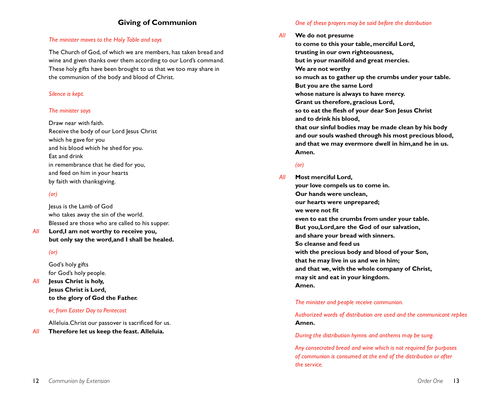# **Giving of Communion**

#### **The minister moves to the Holy Table and says**

The Church of God, of which we are members, has taken bread and wine and given thanks over them according to our Lord's command. These holy gifts have been brought to us that we too may share in the communion of the body and blood of Christ.

#### **Silence is kept.**

#### *The minister says*

Draw near with faith. Receive the body of our Lord Jesus Christ which he gave for you and his blood which he shed for you. Eat and drink in remembrance that he died for you, and feed on him in your hearts by faith with thanks giving.

#### *( o r )*

Jesus is the Lamb of God who takes away the sin of the world. Blessed are those who are called to his supper.

*A ll* **Lord,I am not worthy to receive you, but only say the word,and I shall be healed.**

### *( o r )*

God's holy gifts for God's holy people.

*A ll* **Jesus Christ is holy, Jesus Christ is Lord, to the glory of God the Father.**

#### **or, from Easter Day to Pentecost**

Alleluia.Christ our passover is sacrificed for us. *A ll* **Therefore let us keep the feast. Alleluia.**

#### **One of these prayers may be said before the distribution**

*A ll* **We do not presume to come to this your table, merciful Lord, trusting in our own righteousness, but in your manifold and great mercies. We are not worthy so much as to gather up the crumbs under your table. But you are the same Lord whose nature is always to have mercy. Grant us therefore, gracious Lord, so to eat the flesh of your dear Son Jesus Christ and to drink his blood, that our sinful bodies may be made clean by his body and our souls washed through his most precious blood, and that we may evermore dwell in him,and he in us. Amen.**

#### *( o r )*

*A ll* **Most merciful Lord, your love compels us to come in. Our hands were unclean, our hearts were unprepared; we were not fit even to eat the crumbs from under your table. But you,Lord,are the God of our salvation, and share your bread with sinners. So cleanse and feed us with the precious body and blood of your Son, that he may live in us and we in him; and that we, with the whole company of Christ, may sit and eat in your kingdom. Amen.**

#### The minister and people receive communion.

Authorized words of distribution are used and the communicant replies **Amen.**

*During the distribution hymns and anthems may be sung.* 

Any consecrated bread and wine which is not required for purposes *o f c o m munion is consumed at the end of the distribution or after the service.*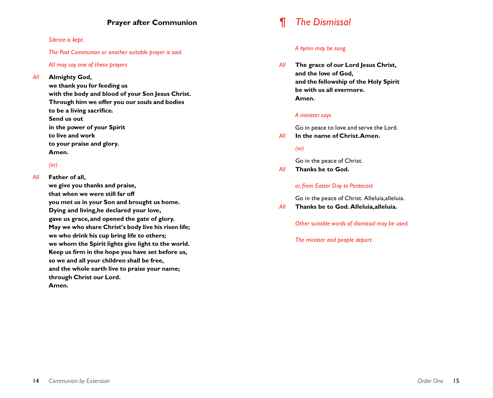# **Prayer after Communion**

#### Silence is kept.

The Post Communion or another suitable prayer is said.

#### All may say one of these prayers

**All Almighty God,** 

**we thank you for feeding us with the body and blood of your Son Jesus Christ. Through him we offer you our souls and bodies to be a living sacrifice. Send us out in the power of your Spirit to live and work to your praise and glory. Amen.**

# *( o r )*

*A ll* **Father of all,**

**we give you thanks and praise, that when we were still far off you met us in your Son and brought us home. Dying and living,he declared your love, gave us grace, and opened the gate of glory. May we who share Christ's body live his risen life; we who drink his cup bring life to others; we whom the Spirit lights give light to the world. Keep us firm in the hope you have set before us, so we and all your children shall be free, and the whole earth live to praise your name; through Christ our Lord. Amen.**

# *¶ The Dismissal*

#### *A hymn may be sung.*

*A ll* **The grace of our Lord Jesus Christ, and the love of God, and the fellowship of the Holy Spirit be with us all evermore. Amen.**

#### *A minister says*

Go in peace to love and serve the Lord.

All **In the name of Christ.Amen.** 

## *( o r )*

Go in the peace of Christ.

All **Thanks be to God.** 

#### or, from Easter Day to Pentecost

Go in the peace of Christ. Alleluia, alleluia.

*A ll* **Thanks be to God. Alleluia,alleluia.**

#### *O ther suitable words of dismissal may be used.*

The minister and people depart.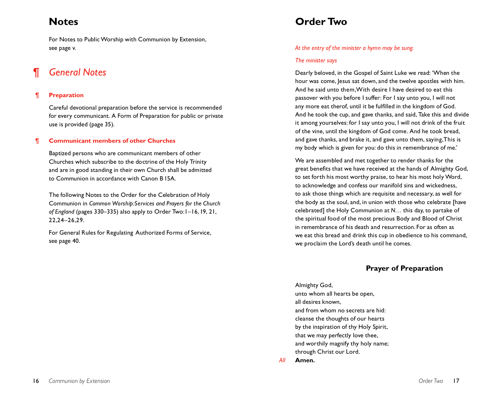# **Notes**

For Notes to Public Worship with Communion by Extension, see page v.

# *¶ G e n e ral Notes*

## ¶ **Preparation**

Careful devotional preparation before the service is recommended for every communicant. A Form of Preparation for public or private use is provided (page 35).

### ¶ **Communicant members of other Churches**

Baptized persons who are communicant members of other Churches which subscribe to the doctrine of the Holy Trinity and are in good standing in their own Church shall be admitted to Communion in accordance with Canon B 15A.

The following Notes to the Order for the Celebration of Holy Communion in *Common Worship:Services and Prayers for the Church of England (pages 330–335) also apply to Order Two:1–16, 19, 21,*  $22,24 - 26,29$ .

For General Rules for Regulating Authorized Forms of Service, see page 40.

# **Order Two**

### *At the entry of the minister a hymn may be sung.*

#### *The minister says*

Dearly beloved, in the Gospel of Saint Luke we read: 'When the hour was come, Jesus sat down, and the twelve apostles with him. And he said unto them. With desire I have desired to eat this passover with you before I suffer: For I say unto you, I will not any more eat therof, until it be fulfilled in the kingdom of God. And he took the cup, and gave thanks, and said, Take this and divide it among yourselves: for I say unto you, I will not drink of the fruit of the vine, until the kingdom of God come. And he took bread, and gave thanks, and brake it, and gave unto them, saying, This is my body which is given for you: do this in remembrance of me.'

We are assembled and met together to render thanks for the great benefits that we have received at the hands of Almighty God, to set forth his most worthy praise, to hear his most holy Word, to acknowledge and confess our manifold sins and wickedness, to ask those things which are requisite and necessary, as well for the body as the soul, and, in union with those who celebrate [have celebrated] the Holy Communion at N... this day, to partake of the spiritual food of the most precious Body and Blood of Christ in remembrance of his death and resurrection. For as often as we eat this bread and drink this cup in obedience to his command, we proclaim the Lord's death until he comes.

# **Prayer of Preparation**

Almighty God, unto whom all hearts be open, all desires known. and from whom no secrets are hid: cleanse the thoughts of our hearts by the inspiration of thy Holy Spirit, that we may perfectly love thee, and worthily magnify thy holy name; through Christ our Lord.

*A ll* **Amen.**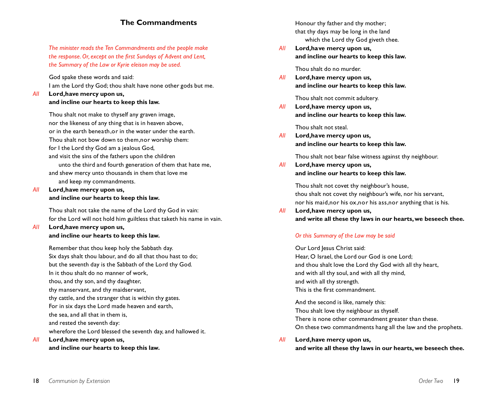# **The Commandments**

*The minister reads the Ten Commandments and the people make*  the response. Or, except on the first Sundays of Advent and Lent, the Summary of the Law or Kyrie eleison may be used.

God spake these words and said: I am the Lord thy God; thou shalt have none other gods but me.

## *A ll* **Lord,have mercy upon us, and incline our hearts to keep this law.**

Thou shalt not make to thyself any graven image, nor the likeness of any thing that is in heaven above, or in the earth beneath or in the water under the earth. Thou shalt not bow down to them, nor worship them: for I the Lord thy God am a jealous God, and visit the sins of the fathers upon the children unto the third and fourth generation of them that hate me,

and shew mercy unto thousands in them that love me and keep my commandments.

*A ll* **Lord,have mercy upon us, and incline our hearts to keep this law.**

> Thou shalt not take the name of the Lord thy God in vain: for the Lord will not hold him guiltless that taketh his name in vain.

# *A ll* **Lord,have mercy upon us, and incline our hearts to keep this law.**

Remember that thou keep holy the Sabbath day. Six days shalt thou labour, and do all that thou hast to do; but the seventh day is the Sabbath of the Lord thy God. In it thou shalt do no manner of work. thou, and thy son, and thy daughter, thy manservant, and thy maidservant, thy cattle, and the stranger that is within thy gates. For in six days the Lord made heaven and earth, the sea, and all that in them is. and rested the seventh day: wherefore the Lord blessed the seventh day, and hallowed it. *A ll* **Lord,have mercy upon us,**

**and incline our hearts to keep this law.**

Honour thy father and thy mother; that thy days may be long in the land which the Lord thy God giveth thee.

*A ll* **Lord,have mercy upon us, and incline our hearts to keep this law.**

Thou shalt do no murder.

*A ll* **Lord,have mercy upon us, and incline our hearts to keep this law.**

Thou shalt not commit adultery.

*A ll* **Lord,have mercy upon us, and incline our hearts to keep this law.**

Thou shalt not steal.

*A ll* **Lord,have mercy upon us, and incline our hearts to keep this law.**

Thou shalt not bear false witness against thy neighbour.

All **Lord, have mercy upon us, and incline our hearts to keep this law.**

> Thou shalt not covet thy neighbour's house, thou shalt not covet thy neighbour's wife, nor his servant, nor his maid, nor his ox, nor his ass, nor any thing that is his.

All **Lord, have mercy upon us, and write all these thy laws in our hearts,we beseech thee.**

### *Or this Summary of the Law may be said*

Our Lord Jesus Christ said: Hear, O Israel, the Lord our God is one Lord; and thou shalt love the Lord thy God with all thy heart, and with all thy soul, and with all thy mind, and with all thy strength. This is the first commandment.

And the second is like, namely this: Thou shalt love thy neighbour as thyself. There is none other commandment greater than these. On these two commandments hang all the law and the prophets.

All **Lord, have mercy upon us,** 

**and write all these thy laws in our hearts,we beseech thee.**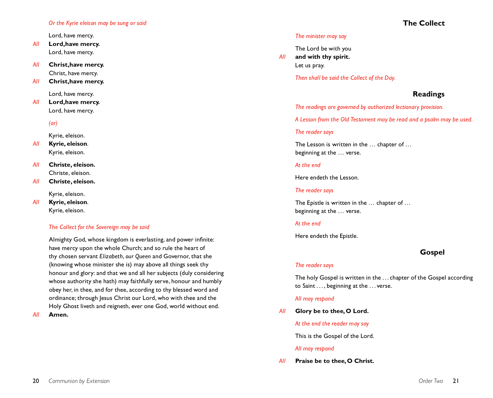#### *Or the Ky rie eleison may be sung or said*

Lord, have mercy.

- *All* **Lord, have mercy.** Lord, have mercy.
- *All* **Christ, have mercy.** Christ, have mercy.
- *All* **Christ, have mercy.**

Lord, have mercy.

*All* **Lord, have mercy.** Lord, have mercy.

#### *( o r )*

Kyrie, eleison.

- *A ll* **Kyrie, eleison**. Kyrie, eleison.
- *A ll* **Christe, eleison.** Christe, eleison.
- *A ll* **Christe, eleison.**

Kyrie, eleison.

*A ll* **Kyrie, eleison**. Kyrie, eleison.

#### **The Collect for the Sovereign may be said**

Al mighty God, whose kingdom is everlasting, and power infinite: have mercy upon the whole Church; and so rule the heart of thy chosen servant *Elizabeth*, *our Queen* and Governor, that she (knowing whose minister she is) may above all things seek thy honour and glory: and that we and all her subjects (duly considering whose authority she hath) may faithfully serve, honour and humbly obey her, in thee, and for thee, according to thy blessed word and ordinance; through Jesus Christ our Lord, who with thee and the Holy Ghost liveth and reigneth, ever one God, world without end.

*A ll* **Amen.**

#### *The minister may say*

The Lord be with you *A ll* **and with thy spirit.** Let us pray.

**Then shall be said the Collect of the Day.** 

# **Readings**

The readings are governed by authorized lectionary provision.

*A Lesson from the Old Testament may be read and a psalm may be used.*

#### *The reader says*

The Lesson is written in the ... chapter of ... beginning at the ... verse.

#### *At the end*

Here endeth the Lesson.

#### *The reader says*

The Epistle is written in the ... chapter of ... beginning at the ... verse.

#### *At the end*

Here endeth the Epistle.

### **Gospel**

#### *The reader says*

The holy Gospel is written in the ... chapter of the Gospel according to Saint  $\dots$ , beginning at the  $\dots$  verse.

#### **All may respond**

All **Glory be to thee, O Lord.** 

*At the end the reader may say*

This is the Gospel of the Lord.

#### **All may respond**

**All Praise be to thee, O Christ.**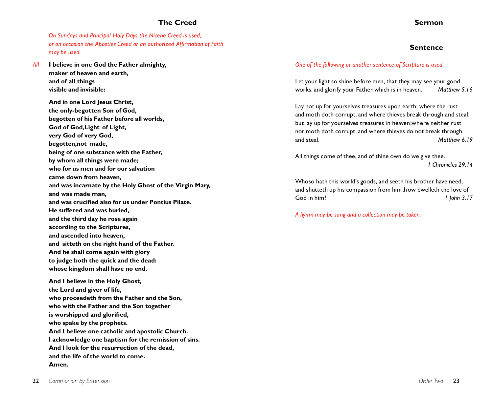# **The Creed**

**On Sundays and Principal Holy Days the Nicene Creed is used,** or on occasion the Apostles'Creed or an authorized Affirmation of Faith *may be used.*

*A ll* **I believe in one God the Father almighty, maker of heaven and earth, and of all things visible and invisible:**

> **And in one Lord Jesus Christ, the only-begotten Son of God, begotten of his Father before all worlds, God of God,Light of Light, very God of very God, begotten,not made, being of one substance with the Father, by whom all things were made; who for us men and for our salvation came down from heaven, and was incarnate by the Holy Ghost of the Virgin Mary, and was made man, and was crucified also for us under Pontius Pilate. He suffered and was buried, and the third day he rose again according to the Scriptures, and ascended into heaven, and sitteth on the right hand of the Father. And he shall come again with glory to judge both the quick and the dead: whose kingdom shall have no end.**

**And I believe in the Holy Ghost, the Lord and giver of life, who proceedeth from the Father and the Son, who with the Father and the Son together is worshipped and glorified, who spake by the prophets. And I believe one catholic and apostolic Church. I acknowledge one baptism for the remission of sins. And I look for the resurrection of the dead, and the life of the world to come. Amen.**

#### **One of the following or another sentence of Scripture is used**

Let your light so shine before men, that they may see your good works, and glorify your Father which is in heaven. *Matthew 5.16* 

Lay not up for yourselves treasures upon earth; where the rust and moth doth corrupt, and where thieves break through and steal: but lay up for yourselves treasures in heaven; where neither rust nor moth doth corrupt, and where thieves do not break through and steal **and steam** and steam and steam and steam and steam and steam and steam and steam and steam and steam and steam and steam and steam and steam and steam and steam and steam and steam and steam and steam and steam

All things come of thee, and of thine own do we give thee. *1 Chronicles 29.14* 

Whoso hath this world's goods, and seeth his brother have need, and shutteth up his compassion from him, how dwelleth the love of God in him ? *1 John 3.17*

A hymn may be sung and a collection may be taken.

**Sentence**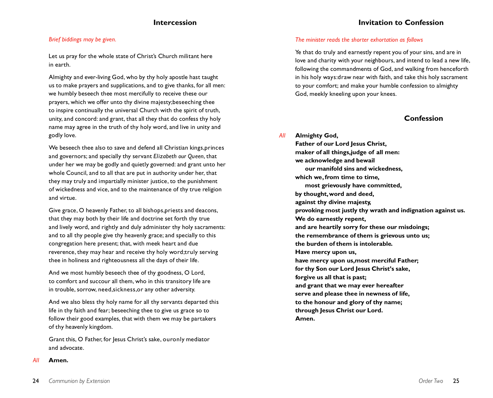# **Intercession**

# **Invitation to Confession**

#### *B ri e f biddings may be given.*

Let us pray for the whole state of Christ's Church militant here in ea rth .

Almighty and ever-living God, who by thy holy apostle hast taught us to make prayers and supplications, and to give thanks, for all men: we humbly beseech thee most mercifully to receive these our prayers, which we offer unto thy divine majesty; beseeching thee to inspire continually the universal Church with the spirit of truth, unity, and concord: and grant, that all they that do confess thy holy name may agree in the truth of thy holy word, and live in unity and godly love.

We beseech thee also to save and defend all Christian kings, princes and governors; and specially thy servant *Elizabeth our Queen*, that under her we may be godly and quietly governed: and grant unto her whole Council, and to all that are put in authority under her, that they may truly and impartially minister justice, to the punishment of wickedness and vice, and to the maintenance of thy true religion and virtue.

Give grace, O heavenly Father, to all bishops, priests and deacons, that they may both by their life and doctrine set forth thy true and lively word, and rightly and duly administer thy holy sacraments: and to all thy people give thy heavenly grace; and specially to this congregation here present; that, with meek heart and due reverence, they may hear and receive thy holy word; truly serving thee in holiness and righteousness all the days of their life.

And we most humbly beseech thee of thy goodness, O Lord, to comfort and succour all them, who in this transitory life are in trouble, sorrow, need, sickness, or any other adversity.

And we also bless thy holy name for all thy servants departed this life in thy faith and fear; beseeching thee to give us grace so to follow their good examples, that with them we may be partakers of thy heavenly kingdom.

Grant this, O Father, for Jesus Christ's sake, ouronly mediator and advocate.

#### *A ll* **Amen.**

#### The minister reads the shorter exhortation as follows

Ye that do truly and earnestly repent you of your sins, and are in love and charity with your neighbours, and intend to lead a new life, following the commandments of God, and walking from henceforth in his holy ways: draw near with faith, and take this holy sacrament to your comfort; and make your humble confession to almighty God, meekly kneeling upon your knees.

# **Confession**

*A ll* **Almighty God, Father of our Lord Jesus Christ, maker of all things,judge of all men: we acknowledge and bewail our manifold sins and wickedness, which we, from time to time, most grievously have committed, by thought,word and deed, against thy divine majesty, provoking most justly thy wrath and indignation against us. We do earnestly repent, and are heartily sorry for these our misdoings; the remembrance of them is grievous unto us; the burden of them is intolerable. Have mercy upon us, have mercy upon us,most merciful Father; for thy Son our Lord Jesus Christ's sake, forgive us all that is past; and grant that we may ever hereafter serve and please thee in newness of life, to the honour and glory of thy name; through Jesus Christ our Lord. Amen.**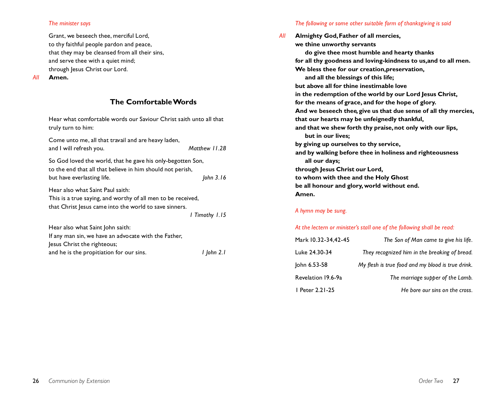#### *The minister says*

Grant, we beseech thee, merciful Lord, to thy faithful people pardon and peace, that they may be cleansed from all their sins, and serve thee with a quiet mind; through Jesus Christ our Lord.

#### *A ll* **Amen.**

# **The Comfortable Words**

| Hear what comfortable words our Saviour Christ saith unto all that<br>truly turn to him:                                                                                     |               |  |
|------------------------------------------------------------------------------------------------------------------------------------------------------------------------------|---------------|--|
| Come unto me, all that travail and are heavy laden,<br>and I will refresh you.                                                                                               | Matthew 11.28 |  |
| So God loved the world, that he gave his only-begotten Son,<br>to the end that all that believe in him should not perish,<br>John 3.16<br>but have everlasting life.         |               |  |
| Hear also what Saint Paul saith:<br>This is a true saying, and worthy of all men to be received,<br>that Christ Jesus came into the world to save sinners.<br>l Timothy 1.15 |               |  |
| Hear also what Saint John saith:<br>If any man sin, we have an advocate with the Father,<br>Jesus Christ the righteous;<br>and he is the propitiation for our sins.          | l John 2.1    |  |

## *The following or some other suitable form of thanksgiving is said*

*A ll* **Almighty God,Father of all mercies, we thine unworthy servants do give thee most humble and hearty thanks for all thy goodness and loving-kindness to us,and to all men. We bless thee for our creation,preservation, and all the blessings of this life; but above all for thine inestimable love in the redemption of the world by our Lord Jesus Christ, for the means of grace, and for the hope of glory. And we beseech thee, give us that due sense of all thy mercies, that our hearts may be unfeignedly thankful, and that we shew forth thy praise,not only with our lips, but in our lives; by giving up ourselves to thy service, and by walking before thee in holiness and righteousness all our days; through Jesus Christ our Lord, to whom with thee and the Holy Ghost be all honour and glory, world without end. Amen.**

#### *A hymn may be sung.*

#### At the lectern or minister's stall one of the following shall be read:

| Mark 10.32-34,42-45 | The Son of Man came to give his life.             |
|---------------------|---------------------------------------------------|
| Luke 24.30-34       | They recognized him in the breaking of bread.     |
| John 6.53-58        | My flesh is true food and my blood is true drink. |
| Revelation 19.6-9a  | The marriage supper of the Lamb.                  |
| 1 Peter 2.21-25     | He bore our sins on the cross.                    |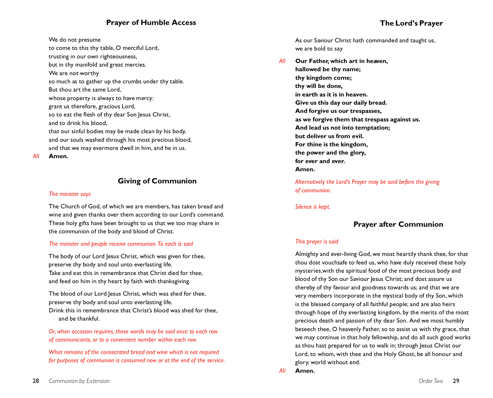# **Prayer of Humble Access**

We do not presume

to come to this thy table, O merciful Lord, trusting in our own righteousness, but in thy manifold and great mercies. We are not worthy so much as to gather up the crumbs under thy table. But thou art the same Lord. whose property is always to have mercy: grant us therefore, gracious Lord, so to eat the flesh of thy dear Son Jesus Christ, and to drink his blood, that our sinful bodies may be made clean by his body, and our souls washed through his most precious blood, and that we may evermore dwell in him, and he in us.

*A ll* **Amen.**

# **Giving of Communion**

#### *The minister says*

The Church of God, of which we are members, has taken bread and wine and given thanks over them according to our Lord's command. These holy gifts have been brought to us that we too may share in the communion of the body and blood of Christ.

#### The minister and beoble receive communion. To each is said

The body of our Lord Jesus Christ, which was given for thee, preserve thy body and soul unto everlasting life. Take and eat this in remembrance that Christ died for thee, and feed on him in thy heart by faith with thanks giving.

The blood of our Lord Jesus Christ, which was shed for thee, preserve thy body and soul unto everlasting life. Drink this in remembrance that Christ's blood was shed for thee. and be thankful

*Or, when occasion requires, these words may be said once to each row* of communicants, or to a convenient number within each row.

*What remains of the consecrated bread and wine which is not required for purposes of communion is consumed now or at the end of the service.*  As our Saviour Christ hath commanded and taught us, we are bold to say

*A ll* **Our Father, which art in heaven, hallowed be thy name; thy kingdom come; thy will be done, in earth as it is in heaven. Give us this day our daily bread. And forgive us our trespasses, as we forgive them that trespass against us. And lead us not into temptation; but deliver us from evil. For thine is the kingdom, the power and the glory, for ever and ever. Amen.**

> Alternatively the Lord's Prayer may be said before the giving  $of$  *communion.*

Silence is kept.

# **Prayer after Communion**

#### **This prayer is said**

Almighty and ever-living God, we most heartily thank thee, for that thou dost vouchsafe to feed us, who have duly received these holy my steries, with the spiritual food of the most precious body and blood of thy Son our Saviour Jesus Christ; and dost assure us thereby of thy favour and goodness towards us; and that we are very members incorporate in the mystical body of thy Son, which is the blessed company of all faithful people; and are also heirs through hope of thy everlasting kingdom, by the merits of the most precious death and passion of thy dear Son. And we most humbly beseech thee, O heavenly Father, so to assist us with thy grace, that we may continue in that holy fellowship, and do all such good works as thou hast prepared for us to walk in; through Jesus Christ our Lord, to whom, with thee and the Holy Ghost, be all honour and glory, world without end.

*A ll* **Amen.**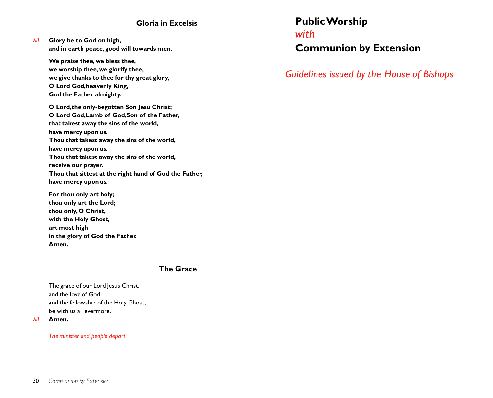# **Gloria in Excelsis**

*A ll* **Glory be to God on high, and in earth peace, good will towards men.**

> **We praise thee, we bless thee, we worship thee, we glorify thee, we give thanks to thee for thy great glory, O Lord God,heavenly King, God the Father almighty.**

**O Lord,the only-begotten Son Jesu Christ; O Lord God,Lamb of God,Son of the Father, that takest away the sins of the world, have mercy upon us. Thou that takest away the sins of the world, have mercy upon us. Thou that takest away the sins of the world, receive our prayer. Thou that sittest at the right hand of God the Father, have mercy upon us.**

**For thou only art holy; thou only art the Lord; thou only,O Christ, with the Holy Ghost, art most high in the glory of God the Father. Amen.**

# **The Grace**

The grace of our Lord Jesus Christ, and the love of God, and the fellowship of the Holy Ghost, be with us all evermore.

*A ll* **Amen.**

The minister and people depart.

# **Public Worship** with **Communion by Extension**

*Guidelines issued by the House of Bishops*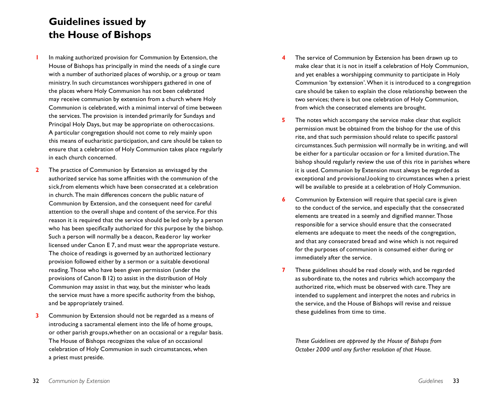# **Guidelines issued by the House of Bishops**

- **1** In making authorized provision for Communion by Extension, the House of Bishops has principally in mind the needs of a single cure with a number of authorized places of worship, or a group or team ministry. In such circumstances worshippers gathered in one of the places where Holy Communion has not been celebrated may receive communion by extension from a church where Holy Communion is celebrated, with a minimal interval of time between the services. The provision is intended primarily for Sundays and Principal Holy Days, but may be appropriate on otheroccasions. A particular congregation should not come to rely mainly upon this means of eucharistic participation, and care should be taken to ensure that a celebration of Holy Communion takes place regularly in each church concerned.
- **2** The practice of Communion by Extension as envisaged by the authorized service has some affinities with the communion of the sick from elements which have been consecrated at a celebration in church. The main differences concern the public nature of Communion by Extension, and the consequent need for careful attention to the overall shape and content of the service. For this reason it is required that the service should be led only by a person who has been specifically authorized for this purpose by the bishop. Such a person will normally be a deacon, Readeror lay worker licensed under Canon E 7, and must wear the appropriate vesture. The choice of readings is governed by an authorized lectionary provision followed either by a sermon or a suitable devotional reading. Those who have been given permission (under the provisions of Canon B 12) to assist in the distribution of Holy Communion may assist in that way, but the minister who leads the service must have a more specific authority from the bishop, and be appropriately trained.
- **3** Communion by Extension should not be regarded as a means of introducing a sacramental element into the life of home groups, or other parish groups, whether on an occasional or a regular basis. The House of Bishops recognizes the value of an occasional celebration of Holy Communion in such circumstances, when a priest must preside.
- **4** The service of Communion by Extension has been drawn up to make clear that it is not in itself a celebration of Holy Communion, and yet enables a worshipping community to participate in Holy Communion 'by extension'. When it is introduced to a congregation care should be taken to explain the close relationship between the two services; there is but one celebration of Holy Communion, from which the consecrated elements are brought.
- **5** The notes which accompany the service make clear that explicit permission must be obtained from the bishop for the use of this rite, and that such permission should relate to specific pastoral circumstances. Such permission will normally be in writing, and will be either for a particular occasion or for a limited duration. The bishop should regularly review the use of this rite in parishes where it is used. Communion by Extension must always be regarded as exceptional and provisional, looking to circumstances when a priest will be available to preside at a celebration of Holy Communion.
- **6** Communion by Extension will require that special care is given to the conduct of the service, and especially that the consecrated elements are treated in a seemly and dignified manner. Those responsible for a service should ensure that the consecrated elements are adequate to meet the needs of the congregation, and that any consecrated bread and wine which is not required for the purposes of communion is consumed either during or im mediately after the service.
- **7** These guidelines should be read closely with, and be regarded as subordinate to, the notes and rubrics which accompany the authorized rite, which must be observed with care. They are intended to supplement and interpret the notes and rubrics in the service, and the House of Bishops will revise and reissue these guidelines from time to time.

*These Guidelines are approved by the House of Bishops from October 2000 until any further resolution of that House.*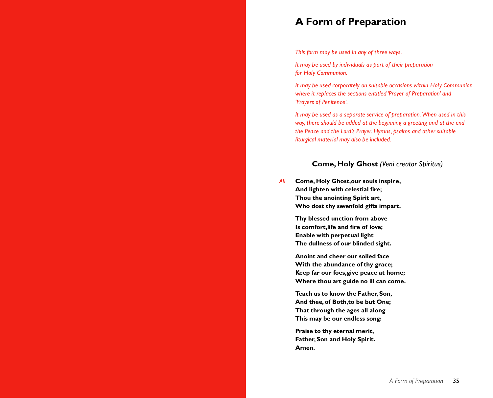# **A Form of Preparation**

*This form may be used in any of three ways.* 

*It may be used by individuals as part of their preparation for Holy Communion.* 

*It may be used corporately on suitable occasions within Holy Communion where it replaces the sections entitled 'Prayer of Preparation' and 'Prayers of Penitence'.* 

*It may be used as a separate service of preparation. When used in this* way, there should be added at the beginning a greeting and at the end *the Peace and the Lord's Prayer. Hymns, psalms and other suitable liturgical material may also be included.* 

# **Come, Holy Ghost** *(Veni creator Spiritus)*

*A ll* **Come, Holy Ghost,our souls inspire, And lighten with celestial fire; Thou the anointing Spirit art, Who dost thy sevenfold gifts impart.**

> **Thy blessed unction from above Is comfort,life and fire of love; Enable with perpetual light The dullness of our blinded sight.**

**Anoint and cheer our soiled face With the abundance of thy grace; Keep far our foes,give peace at home; Where thou art guide no ill can come.**

**Teach us to know the Father, Son, And thee, of Both,to be but One; That through the ages all along This may be our endless song:**

**Praise to thy eternal merit, Father,Son and Holy Spirit. Amen.**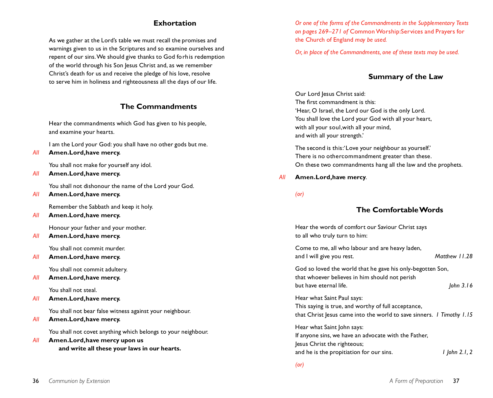# **Exhortation**

As we gather at the Lord's table we must recall the promises and warnings given to us in the Scriptures and so examine ourselves and repent of our sins. We should give thanks to God forh is redemption of the world through his Son Jesus Christ and, as we remember Christ's death for us and receive the pledge of his love, resolve to serve him in holiness and righteousness all the days of our life.

# **The Commandments**

Hear the commandments which God has given to his people, and examine your hearts.

I am the Lord your God: you shall have no other gods but me.

All **Amen.Lord, have mercy.** 

You shall not make for yourself any idol.

All **Amen.Lord, have mercy.** 

You shall not dishonour the name of the Lord your God.

All **Amen.Lord, have mercy.** 

Remember the Sabbath and keep it holy.

All **Amen.Lord, have mercy.** 

Honour your father and your mother.

All **Amen.Lord, have mercy.** 

You shall not commit murder.

All **Amen.Lord, have mercy.** 

You shall not commit adultery.

All **Amen.Lord, have mercy.** 

You shall not steal.

All **Amen.Lord, have mercy.** 

You shall not bear false witness against your neighbour.

*A ll* **Amen.Lord,have mercy.**

You shall not covet anything which belongs to your neighbour.

*A ll* **Amen.Lord,have mercy upon us and write all these your laws in our hearts.**

**Or one of the forms of the Commandments in the Supplementary Texts** on pages 269–271 of Common Worship:Services and Prayers for the Church of England *may be used*.

*O r, in place of the Commandments, one of these texts may be used.*

# **Summary of the Law**

Our Lord Jesus Christ said: The first commandment is this: 'Hear, O Israel, the Lord our God is the only Lord. You shall love the Lord your God with all your heart, with all your soul, with all your mind, and with all your strength.'

The second is this:'Love your neighbour as yourself.' There is no othercommandment greater than these. On these two commandments hang all the law and the prophets.

*A ll* **Amen.Lord,have mercy**.

## *( o r )*

# **The Comfortable Words**

Hear the words of comfort our Saviour Christ says to all who truly turn to him:

| Come to me, all who labour and are heavy laden,<br>and I will give you rest.                                                                               | Matthew 11.28 |  |
|------------------------------------------------------------------------------------------------------------------------------------------------------------|---------------|--|
| God so loved the world that he gave his only-begotten Son,<br>that whoever believes in him should not perish                                               |               |  |
| but have eternal life.                                                                                                                                     | John $3.16$   |  |
| Hear what Saint Paul says:<br>This saying is true, and worthy of full acceptance,<br>that Christ Jesus came into the world to save sinners. I Timothy 1.15 |               |  |
| Hear what Saint John says:                                                                                                                                 |               |  |
| If anyone sins, we have an advocate with the Father,                                                                                                       |               |  |
| Jesus Christ the righteous;                                                                                                                                |               |  |
| and he is the propitiation for our sins.                                                                                                                   | l John 2.1, 2 |  |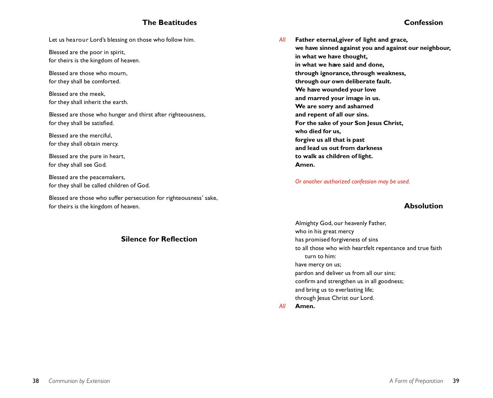# **The Beatitudes**

# **Confession**

All **Father eternal, giver of light and grace, we have sinned against you and against our neighbour, in what we have thought, in what we have said and done, through ignorance, through weakness, through our own deliberate fault. We have wounded your love and marred your image in us. We are sorry and ashamed and repent of all our sins. For the sake of your Son Jesus Christ, who died for us, forgive us all that is past and lead us out from darkness to walk as children of light. Amen.** Let us hearour Lord's blessing on those who follow him. for theirs is the kingdom of heaven. Blessed are those who mourn, Blessed are the meek. for they shall inherit the earth. Blessed are those who hunger and thirst after righteousness, Blessed are the merciful.

*Or another authorized confession may be used.* 

# **Absolution**

Almighty God, our heavenly Father, who in his great mercy has promised forgiveness of sins to all those who with heartfelt repentance and true faith turn to him. have mercy on us; pardon and deliver us from all our sins; confirm and strengthen us in all goodness; and bring us to everlasting life; through Jesus Christ our Lord. *A ll* **Amen.**

Blessed are the poor in spirit,

for they shall be comforted.

for they shall be satisfied.

for they shall obtain mercy.

Blessed are the pure in heart, for they shall see God.

Blessed are the peacemakers, for they shall be called children of God.

Blessed are those who suffer persecution for righteousness' sake, for theirs is the kingdom of heaven.

# **Silence for Reflection**